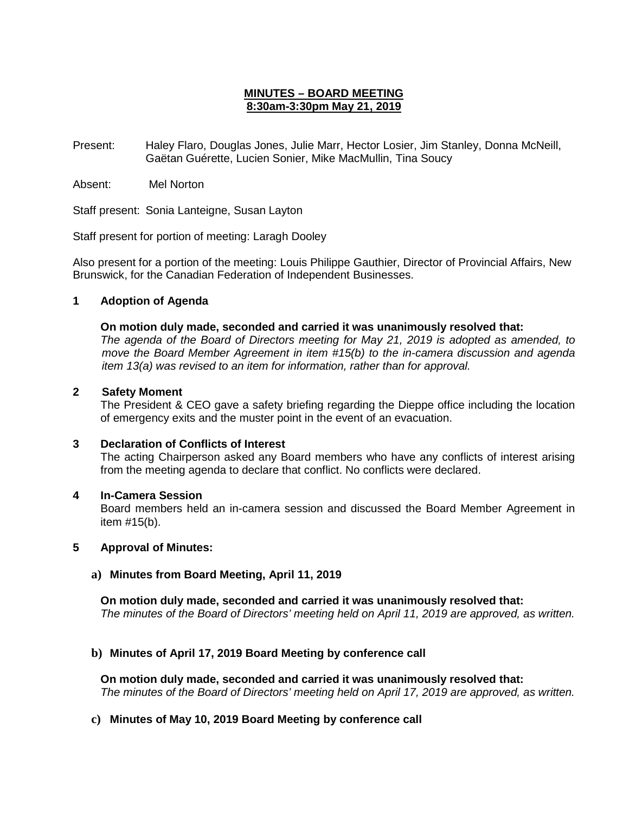# **MINUTES – BOARD MEETING 8:30am-3:30pm May 21, 2019**

Present: Haley Flaro, Douglas Jones, Julie Marr, Hector Losier, Jim Stanley, Donna McNeill, Gaëtan Guérette, Lucien Sonier, Mike MacMullin, Tina Soucy

Absent: Mel Norton

Staff present: Sonia Lanteigne, Susan Layton

Staff present for portion of meeting: Laragh Dooley

Also present for a portion of the meeting: Louis Philippe Gauthier, Director of Provincial Affairs, New Brunswick, for the Canadian Federation of Independent Businesses.

## **1 Adoption of Agenda**

### **On motion duly made, seconded and carried it was unanimously resolved that:**

*The agenda of the Board of Directors meeting for May 21, 2019 is adopted as amended, to move the Board Member Agreement in item #15(b) to the in-camera discussion and agenda item 13(a) was revised to an item for information, rather than for approval.*

### **2 Safety Moment**

The President & CEO gave a safety briefing regarding the Dieppe office including the location of emergency exits and the muster point in the event of an evacuation.

# **3 Declaration of Conflicts of Interest**

The acting Chairperson asked any Board members who have any conflicts of interest arising from the meeting agenda to declare that conflict. No conflicts were declared.

### **4 In-Camera Session**

Board members held an in-camera session and discussed the Board Member Agreement in item #15(b).

### **5 Approval of Minutes:**

### **a) Minutes from Board Meeting, April 11, 2019**

**On motion duly made, seconded and carried it was unanimously resolved that:** *The minutes of the Board of Directors' meeting held on April 11, 2019 are approved, as written.*

# **b) Minutes of April 17, 2019 Board Meeting by conference call**

**On motion duly made, seconded and carried it was unanimously resolved that:** *The minutes of the Board of Directors' meeting held on April 17, 2019 are approved, as written.*

# **c) Minutes of May 10, 2019 Board Meeting by conference call**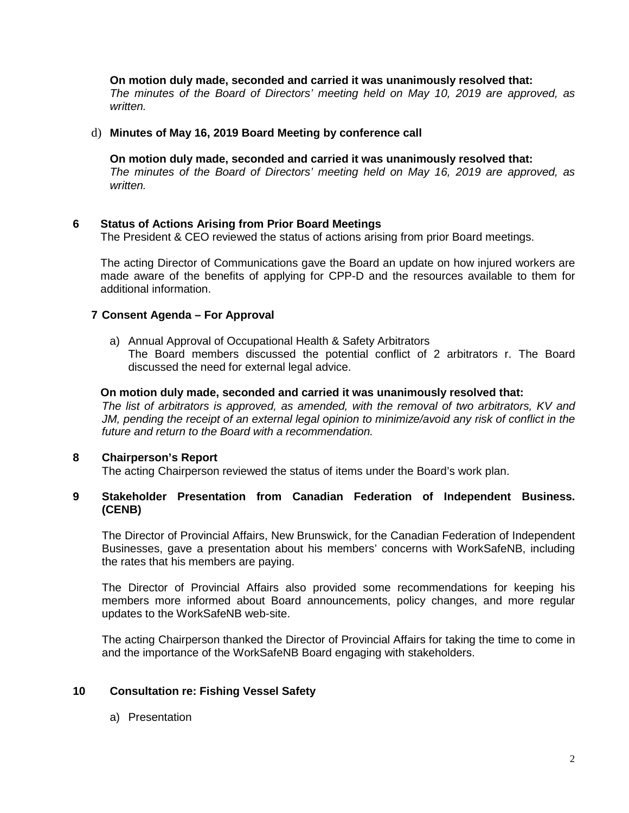## **On motion duly made, seconded and carried it was unanimously resolved that:**

*The minutes of the Board of Directors' meeting held on May 10, 2019 are approved, as written.*

#### d) **Minutes of May 16, 2019 Board Meeting by conference call**

**On motion duly made, seconded and carried it was unanimously resolved that:** *The minutes of the Board of Directors' meeting held on May 16, 2019 are approved, as written.*

### **6 Status of Actions Arising from Prior Board Meetings**

The President & CEO reviewed the status of actions arising from prior Board meetings.

The acting Director of Communications gave the Board an update on how injured workers are made aware of the benefits of applying for CPP-D and the resources available to them for additional information.

### **7 Consent Agenda – For Approval**

a) Annual Approval of Occupational Health & Safety Arbitrators The Board members discussed the potential conflict of 2 arbitrators r. The Board discussed the need for external legal advice.

#### **On motion duly made, seconded and carried it was unanimously resolved that:**

*The list of arbitrators is approved, as amended, with the removal of two arbitrators, KV and JM, pending the receipt of an external legal opinion to minimize/avoid any risk of conflict in the future and return to the Board with a recommendation.*

### **8 Chairperson's Report**

The acting Chairperson reviewed the status of items under the Board's work plan.

### **9 Stakeholder Presentation from Canadian Federation of Independent Business. (CENB)**

The Director of Provincial Affairs, New Brunswick, for the Canadian Federation of Independent Businesses, gave a presentation about his members' concerns with WorkSafeNB, including the rates that his members are paying.

The Director of Provincial Affairs also provided some recommendations for keeping his members more informed about Board announcements, policy changes, and more regular updates to the WorkSafeNB web-site.

The acting Chairperson thanked the Director of Provincial Affairs for taking the time to come in and the importance of the WorkSafeNB Board engaging with stakeholders.

### **10 Consultation re: Fishing Vessel Safety**

a) Presentation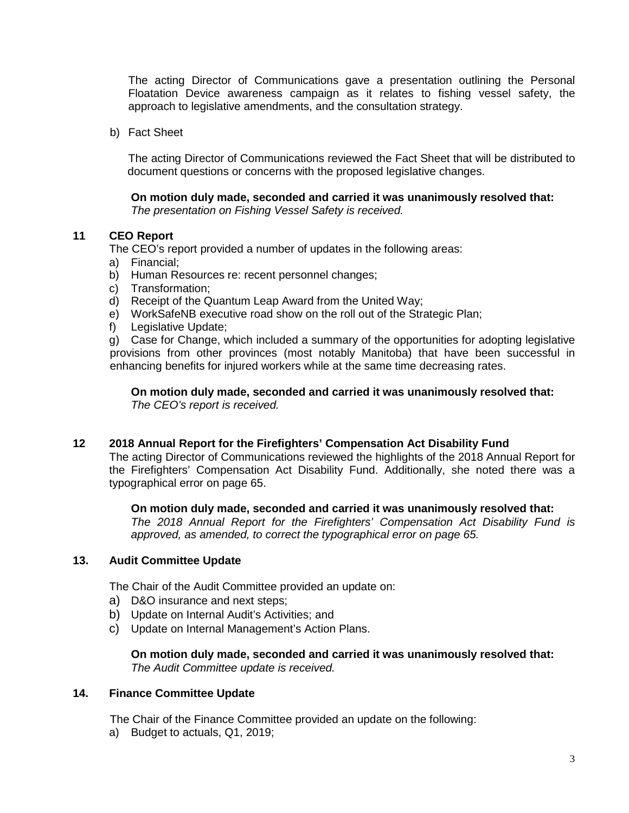The acting Director of Communications gave a presentation outlining the Personal Floatation Device awareness campaign as it relates to fishing vessel safety, the approach to legislative amendments, and the consultation strategy.

b) Fact Sheet

The acting Director of Communications reviewed the Fact Sheet that will be distributed to document questions or concerns with the proposed legislative changes.

**On motion duly made, seconded and carried it was unanimously resolved that:** *The presentation on Fishing Vessel Safety is received.*

## **11 CEO Report**

The CEO's report provided a number of updates in the following areas:

- a) Financial;
- b) Human Resources re: recent personnel changes;
- c) Transformation;
- d) Receipt of the Quantum Leap Award from the United Way;
- e) WorkSafeNB executive road show on the roll out of the Strategic Plan;
- f) Legislative Update;

g) Case for Change, which included a summary of the opportunities for adopting legislative provisions from other provinces (most notably Manitoba) that have been successful in enhancing benefits for injured workers while at the same time decreasing rates.

**On motion duly made, seconded and carried it was unanimously resolved that:** *The CEO's report is received.* 

### **12 2018 Annual Report for the Firefighters' Compensation Act Disability Fund**

The acting Director of Communications reviewed the highlights of the 2018 Annual Report for the Firefighters' Compensation Act Disability Fund. Additionally, she noted there was a typographical error on page 65.

### **On motion duly made, seconded and carried it was unanimously resolved that:**

*The 2018 Annual Report for the Firefighters' Compensation Act Disability Fund is approved, as amended, to correct the typographical error on page 65.* 

### **13. Audit Committee Update**

The Chair of the Audit Committee provided an update on:

- a) D&O insurance and next steps;
- b) Update on Internal Audit's Activities; and
- c) Update on Internal Management's Action Plans.

## **On motion duly made, seconded and carried it was unanimously resolved that:** *The Audit Committee update is received.*

### **14. Finance Committee Update**

The Chair of the Finance Committee provided an update on the following:

a) Budget to actuals, Q1, 2019;